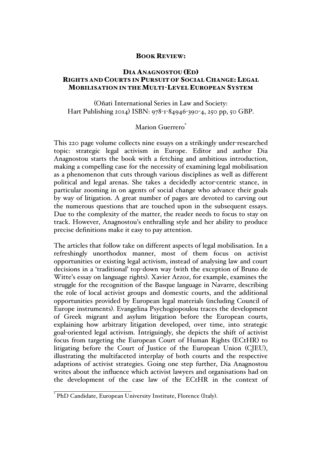## BOOK REVIEW:

## DIA ANAGNOSTOU (ED) RIGHTS AND COURTS IN PURSUIT OF SOCIAL CHANGE: LEGAL MOBILISATION IN THE MULTI-LEVEL EUROPEAN SYSTEM

(Oñati International Series in Law and Society: Hart Publishing 2014) ISBN: 978-1-84946-390-4, 250 pp, 50 GBP.

## Marion Guerrero<sup>\*</sup>

This 220 page volume collects nine essays on a strikingly under-researched topic: strategic legal activism in Europe. Editor and author Dia Anagnostou starts the book with a fetching and ambitious introduction, making a compelling case for the necessity of examining legal mobilisation as a phenomenon that cuts through various disciplines as well as different political and legal arenas. She takes a decidedly actor-centric stance, in particular zooming in on agents of social change who advance their goals by way of litigation. A great number of pages are devoted to carving out the numerous questions that are touched upon in the subsequent essays. Due to the complexity of the matter, the reader needs to focus to stay on track. However, Anagnostou's enthralling style and her ability to produce precise definitions make it easy to pay attention.

The articles that follow take on different aspects of legal mobilisation. In a refreshingly unorthodox manner, most of them focus on activist opportunities or existing legal activism, instead of analysing law and court decisions in a 'traditional' top-down way (with the exception of Bruno de Witte's essay on language rights). Xavier Arzoz, for example, examines the struggle for the recognition of the Basque language in Navarre, describing the role of local activist groups and domestic courts, and the additional opportunities provided by European legal materials (including Council of Europe instruments). Evangelina Psychogiopoulou traces the development of Greek migrant and asylum litigation before the European courts, explaining how arbitrary litigation developed, over time, into strategic goal-oriented legal activism. Intriguingly, she depicts the shift of activist focus from targeting the European Court of Human Rights (ECtHR) to litigating before the Court of Justice of the European Union (CJEU), illustrating the multifaceted interplay of both courts and the respective adaptions of activist strategies. Going one step further, Dia Anagnostou writes about the influence which activist lawyers and organisations had on the development of the case law of the ECtHR in the context of

\* PhD Candidate, European University Institute, Florence (Italy).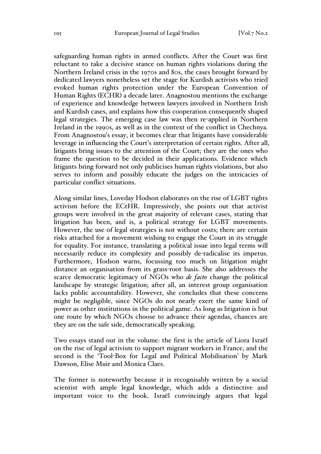safeguarding human rights in armed conflicts. After the Court was first reluctant to take a decisive stance on human rights violations during the Northern Ireland crisis in the 1970s and 80s, the cases brought forward by dedicated lawyers nonetheless set the stage for Kurdish activists who tried evoked human rights protection under the European Convention of Human Rights (ECHR) a decade later. Anagnostou mentions the exchange of experience and knowledge between lawyers involved in Northern Irish and Kurdish cases, and explains how this cooperation consequently shaped legal strategies. The emerging case law was then re-applied in Northern Ireland in the 1990s, as well as in the context of the conflict in Chechnya. From Anagnostou's essay, it becomes clear that litigants have considerable leverage in influencing the Court's interpretation of certain rights. After all, litigants bring issues to the attention of the Court; they are the ones who frame the question to be decided in their applications. Evidence which litigants bring forward not only publicises human rights violations, but also serves to inform and possibly educate the judges on the intricacies of particular conflict situations.

Along similar lines, Loveday Hodson elaborates on the rise of LGBT rights activism before the ECtHR. Impressively, she points out that activist groups were involved in the great majority of relevant cases, stating that litigation has been, and is, a political strategy for LGBT movements. However, the use of legal strategies is not without costs; there are certain risks attached for a movement wishing to engage the Court in its struggle for equality. For instance, translating a political issue into legal terms will necessarily reduce its complexity and possibly de-radicalise its impetus. Furthermore, Hodson warns, focussing too much on litigation might distance an organisation from its grass-root basis. She also addresses the scarce democratic legitimacy of NGOs who *de facto* change the political landscape by strategic litigation; after all, an interest group organisation lacks public accountability. However, she concludes that these concerns might be negligible, since NGOs do not nearly exert the same kind of power as other institutions in the political game. As long as litigation is but one route by which NGOs choose to advance their agendas, chances are they are on the safe side, democratically speaking.

Two essays stand out in the volume: the first is the article of Liora Israël on the rise of legal activism to support migrant workers in France, and the second is the 'Tool-Box for Legal and Political Mobilisation' by Mark Dawson, Elise Muir and Monica Claes.

The former is noteworthy because it is recognisably written by a social scientist with ample legal knowledge, which adds a distinctive and important voice to the book. Israël convincingly argues that legal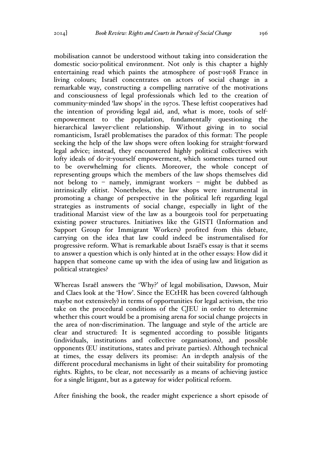mobilisation cannot be understood without taking into consideration the domestic socio-political environment. Not only is this chapter a highly entertaining read which paints the atmosphere of post-1968 France in living colours; Israël concentrates on actors of social change in a remarkable way, constructing a compelling narrative of the motivations and consciousness of legal professionals which led to the creation of community-minded 'law shops' in the 1970s. These leftist cooperatives had the intention of providing legal aid, and, what is more, tools of selfempowerment to the population, fundamentally questioning the hierarchical lawyer-client relationship. Without giving in to social romanticism, Israël problematises the paradox of this format: The people seeking the help of the law shops were often looking for straight-forward legal advice; instead, they encountered highly political collectives with lofty ideals of do-it-yourself empowerment, which sometimes turned out to be overwhelming for clients. Moreover, the whole concept of representing groups which the members of the law shops themselves did not belong to – namely, immigrant workers – might be dubbed as intrinsically elitist. Nonetheless, the law shops were instrumental in promoting a change of perspective in the political left regarding legal strategies as instruments of social change, especially in light of the traditional Marxist view of the law as a bourgeois tool for perpetuating existing power structures. Initiatives like the GISTI (Information and Support Group for Immigrant Workers) profited from this debate, carrying on the idea that law could indeed be instrumentalised for progressive reform. What is remarkable about Israël's essay is that it seems to answer a question which is only hinted at in the other essays: How did it happen that someone came up with the idea of using law and litigation as political strategies?

Whereas Israël answers the 'Why?' of legal mobilisation, Dawson, Muir and Claes look at the 'How'. Since the ECtHR has been covered (although maybe not extensively) in terms of opportunities for legal activism, the trio take on the procedural conditions of the CJEU in order to determine whether this court would be a promising arena for social change projects in the area of non-discrimination. The language and style of the article are clear and structured: It is segmented according to possible litigants (individuals, institutions and collective organisations), and possible opponents (EU institutions, states and private parties). Although technical at times, the essay delivers its promise: An in-depth analysis of the different procedural mechanisms in light of their suitability for promoting rights. Rights, to be clear, not necessarily as a means of achieving justice for a single litigant, but as a gateway for wider political reform.

After finishing the book, the reader might experience a short episode of